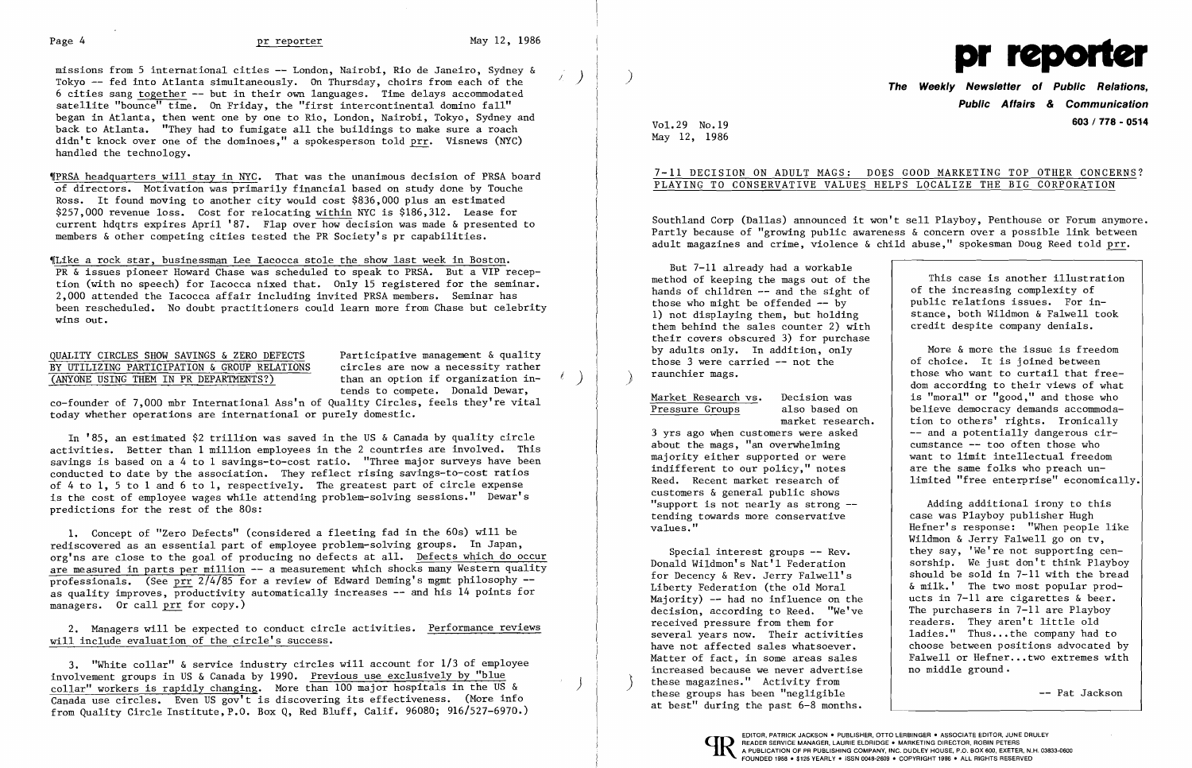

)

Tokyo  $-$  fed into Atlanta simultaneously. On Thursday, choirs from each of the **The Weekly Newsletter of Public Relations,** 6 cities sang together -- but in their own languages. Time delays accommodated satellite "bounce" time. On Friday, the "first intercontinental domino fall" began in Atlanta, then went one by one to Rio, London, Nairobi, Tokyo, Sydney and back to Atlanta. "They had to fumigate all the buildings to make sure a roach didn't knock over one of the dominoes," a spokesperson told prr. Visnews (NYC) handled the technology.

'!PRSA headquarters will stay in NYC. That was the unanimous decision of PRSA board of directors. Motivation was primarily financial based on study done by Touche Ross. It found moving to another city would cost \$836,000 plus an estimated \$257,000 revenue loss. Cost for relocating within NYC is \$186,312. Lease for current hdqtrs expires April '87. Flap over how decision was made & presented to members & other competing cities tested the PR Society's pr capabilities.

NOTILIZING PARTICIPATION & GROUP RELATIONS<br>
(ANYONE USING THEM IN PR DEPARTMENTS?) than an option if organization intends to compete. Donald Dewar,

,[Like a rock star, businessman Lee Iacocca stole the show last week in Boston. PR & issues pioneer Howard Chase was scheduled to speak to PRSA. But a VIP reception (with no speech) for Iacocca nixed that. Only 15 registered for the seminar. 2,000 attended the Iacocca affair including invited PRSA members. Seminar has been rescheduled. No doubt practitioners could learn more from Chase but celebrity wins out.

# QUALITY CIRCLES SHOW SAVINGS & ZERO DEFECTS Participative management & quality<br>BY UTILIZING PARTICIPATION & GROUP RELATIONS circles are now a necessity rather

co-founder of 7,000 mbr International Ass'n of Quality Circles, feels they're vital today whether operations are international or purely domestic.

In '85, an estimated \$2 trillion was saved in the US & Canada by quality circle activities. Better than 1 million employees in the 2 countries are involved. This savings is based on a 4 to 1 savings-to-cost ratio. "Three major surveys have been conducted to date by the association. They reflect rising savings-to-cost ratios of 4 to 1, 5 to 1 and 6 to 1, respectively. The greatest part of circle expense is the cost of employee wages while attending problem-solving sessions." Dewar's predictions for the rest of the 80s:

1. Concept of "Zero Defects" (considered a fleeting fad in the 60s) will be rediscovered as an essential part of employee problem-solving groups. In Japan, org'ns are close to the goal of producing no defects at all. Defects which do occur are measured in parts per million -- a measurement which shocks many Western quality professionals. (See prr  $2/4/85$  for a review of Edward Deming's mgmt philosophy -as quality improves, productivity automatically increases -- and his 14 points for managers. Or call prr for copy.)

More & more the issue is freedom of choice. It is joined between those who want to curtail that freedom according to their views of what is "moral" or "good," and those who believe democracy demands accommodation to others' rights. Ironically -- and a potentially dangerous circumstance -- too often those who want to limit intellectual freedom are the same folks who preach unlimited "free enterprise" economically.

2. Managers will be expected to conduct circle activities. Performance reviews will include evaluation of the circle's success.

3. "White collar" & service industry circles will account for 1/3 of employee involvement groups in US & Canada by 1990. Previous use exclusively by "blue collar" workers is rapidly changing. More than 100 major hospitals in the US & ) Canada use circles. Even US gov't is discovering its effectiveness. (More info from Quality Circle Institute, P.O. Box Q, Red Bluff, Calif. 96080; 916/527-6970.)

**Public Affairs & Communication**  VoL 29 No.19 **603 I 778 - 0514** 

May 12, 1986

# 7-11 DECISION ON ADULT MAGS: DOES GOOD MARKETING TOP OTHER CONCERNS? PLAYING TO CONSERVATIVE VALUES HELPS LOCALIZE THE BIG CORPORATION

Southland Corp (Dallas) announced it won't sell Playboy, Penthouse or Forum anymore. Partly because of "growing public awareness & concern over a possible link between adult magazines and crime, violence & child abuse," spokesman Doug Reed told prr.

But 7-11 already had a workable method of keeping the mags out of the hands of children -- and the sight of those who might be offended  $-$  by 1) not displaying them, but holding them behind the sales counter 2) with their covers obscured 3) for purchase by adults only. In addition, only those 3 were carried -- not the raunchier mags. )

Market Research vs. Decision was<br>Pressure Groups also based on Pressure Groups

market research.

3 yrs ago when customers were asked about the mags, "an overwhelming majority either supported or were indifferent to our policy," notes Reed. Recent market research of customers & general public shows "support is not nearly as strong tending towards more conservative values. "

Special interest groups -- Rev. Donald Wildmon's Nat'l Federation for Decency & Rev. Jerry Falwell's Liberty Federation (the old Moral Majority)  $-$  had no influence on the decision, according to Reed. "We've received pressure from them for several years now. Their activities have not affected sales whatsoever. Matter of fact, in some areas sales increased because we never advertise these magazines." Activity from these groups has been "negligible at best" during the past 6-8 months.

This case is another illustration of the increasing complexity of public relations issues. For instance, both Wildmon & Falwell took credit despite company denials.

Adding additional irony to this case was Playboy publisher Hugh Hefner's response: "When people like Wildmon & Jerry Falwell go on tv, they say, 'We're not supporting censorship. We just don't think Playboy should be sold in 7-11 with the bread &milk.' The two most popular products in 7-11 are cigarettes & beer. The purchasers in 7-11 are Playboy readers. They aren't little old ladies." Thus...the company had to choose between positions advocated by Falwell or Hefner...two extremes with no middle ground.

-- Pat Jackson